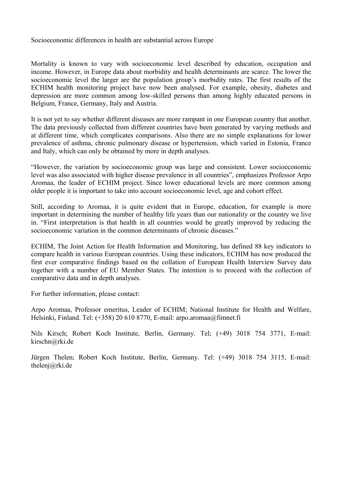Socioeconomic differences in health are substantial across Europe

Mortality is known to vary with socioeconomic level described by education, occupation and income. However, in Europe data about morbidity and health determinants are scarce. The lower the socioeconomic level the larger are the population group's morbidity rates. The first results of the ECHIM health monitoring project have now been analysed. For example, obesity, diabetes and depression are more common among low-skilled persons than among highly educated persons in Belgium, France, Germany, Italy and Austria.

It is not yet to say whether different diseases are more rampant in one European country that another. The data previously collected from different countries have been generated by varying methods and at different time, which complicates comparisons. Also there are no simple explanations for lower prevalence of asthma, chronic pulmonary disease or hypertension, which varied in Estonia, France and Italy, which can only be obtained by more in depth analyses.

"However, the variation by socioeconomic group was large and consistent. Lower socioeconomic level was also associated with higher disease prevalence in all countries", emphasizes Professor Arpo Aromaa, the leader of ECHIM project. Since lower educational levels are more common among older people it is important to take into account socioeconomic level, age and cohort effect.

Still, according to Aromaa, it is quite evident that in Europe, education, for example is more important in determining the number of healthy life years than our nationality or the country we live in. "First interpretation is that health in all countries would be greatly improved by reducing the socioeconomic variation in the common determinants of chronic diseases."

ECHIM, The Joint Action for Health Information and Monitoring, has defined 88 key indicators to compare health in various European countries. Using these indicators, ECHIM has now produced the first ever comparative findings based on the collation of European Health Interview Survey data together with a number of EU Member States. The intention is to proceed with the collection of comparative data and in depth analyses.

For further information, please contact:

Arpo Aromaa, Professor emeritus, Leader of ECHIM; National Institute for Health and Welfare, Helsinki, Finland. Tel: (+358) 20 610 8770, E-mail: arpo.aromaa@fimnet.fi

Nils Kirsch; Robert Koch Institute, Berlin, Germany. Tel; (+49) 3018 754 3771, E-mail: kirschn@rki.de

Jürgen Thelen; Robert Koch Institute, Berlin, Germany. Tel: (+49) 3018 754 3115, E-mail: thelenj@rki.de